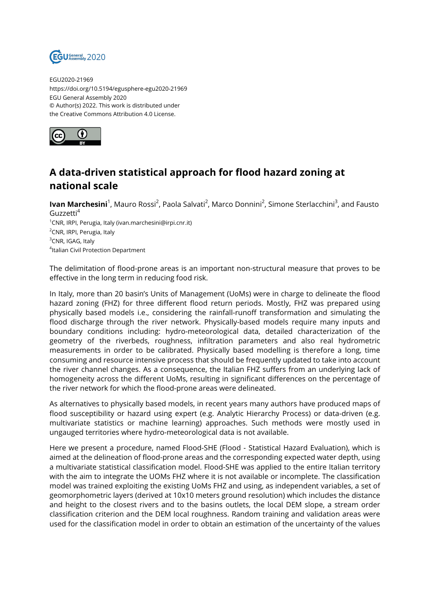

EGU2020-21969 https://doi.org/10.5194/egusphere-egu2020-21969 EGU General Assembly 2020 © Author(s) 2022. This work is distributed under the Creative Commons Attribution 4.0 License.



## **A data-driven statistical approach for flood hazard zoning at national scale**

**lvan Marchesini**<sup>1</sup>, Mauro Rossi<sup>2</sup>, Paola Salvati<sup>2</sup>, Marco Donnini<sup>2</sup>, Simone Sterlacchini<sup>3</sup>, and Fausto Guzzetti<sup>4</sup> <sup>1</sup>CNR, IRPI, Perugia, Italy (ivan.marchesini@irpi.cnr.it) <sup>2</sup>CNR, IRPI, Perugia, Italy <sup>3</sup>CNR, IGAG, Italy 4 Italian Civil Protection Department

The delimitation of flood-prone areas is an important non-structural measure that proves to be effective in the long term in reducing food risk.

In Italy, more than 20 basin's Units of Management (UoMs) were in charge to delineate the flood hazard zoning (FHZ) for three different flood return periods. Mostly, FHZ was prepared using physically based models i.e., considering the rainfall-runoff transformation and simulating the flood discharge through the river network. Physically-based models require many inputs and boundary conditions including: hydro-meteorological data, detailed characterization of the geometry of the riverbeds, roughness, infiltration parameters and also real hydrometric measurements in order to be calibrated. Physically based modelling is therefore a long, time consuming and resource intensive process that should be frequently updated to take into account the river channel changes. As a consequence, the Italian FHZ suffers from an underlying lack of homogeneity across the different UoMs, resulting in significant differences on the percentage of the river network for which the flood-prone areas were delineated.

As alternatives to physically based models, in recent years many authors have produced maps of flood susceptibility or hazard using expert (e.g. Analytic Hierarchy Process) or data-driven (e.g. multivariate statistics or machine learning) approaches. Such methods were mostly used in ungauged territories where hydro-meteorological data is not available.

Here we present a procedure, named Flood-SHE (Flood - Statistical Hazard Evaluation), which is aimed at the delineation of flood-prone areas and the corresponding expected water depth, using a multivariate statistical classification model. Flood-SHE was applied to the entire Italian territory with the aim to integrate the UOMs FHZ where it is not available or incomplete. The classification model was trained exploiting the existing UoMs FHZ and using, as independent variables, a set of geomorphometric layers (derived at 10x10 meters ground resolution) which includes the distance and height to the closest rivers and to the basins outlets, the local DEM slope, a stream order classification criterion and the DEM local roughness. Random training and validation areas were used for the classification model in order to obtain an estimation of the uncertainty of the values